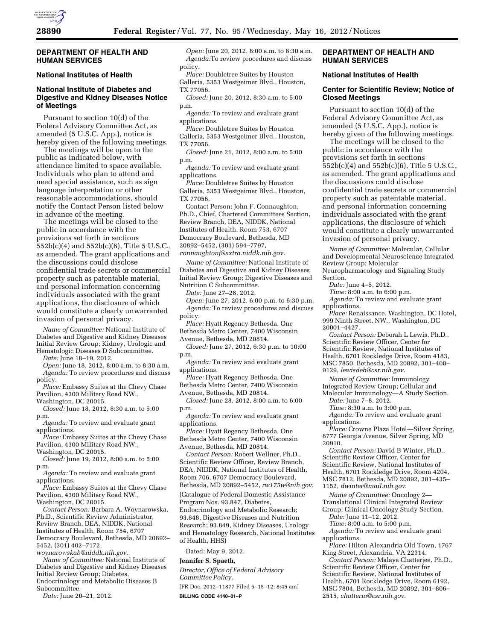

#### **DEPARTMENT OF HEALTH AND HUMAN SERVICES**

## **National Institutes of Health**

# **National Institute of Diabetes and Digestive and Kidney Diseases Notice of Meetings**

Pursuant to section 10(d) of the Federal Advisory Committee Act, as amended (5 U.S.C. App.), notice is hereby given of the following meetings.

The meetings will be open to the public as indicated below, with attendance limited to space available. Individuals who plan to attend and need special assistance, such as sign language interpretation or other reasonable accommodations, should notify the Contact Person listed below in advance of the meeting.

The meetings will be closed to the public in accordance with the provisions set forth in sections 552b(c)(4) and 552b(c)(6), Title 5 U.S.C., as amended. The grant applications and the discussions could disclose confidential trade secrets or commercial property such as patentable material, and personal information concerning individuals associated with the grant applications, the disclosure of which would constitute a clearly unwarranted invasion of personal privacy.

*Name of Committee:* National Institute of Diabetes and Digestive and Kidney Diseases Initial Review Group; Kidney, Urologic and Hematologic Diseases D Subcommittee.

*Date:* June 18–19, 2012.

*Open:* June 18, 2012, 8:00 a.m. to 8:30 a.m. *Agenda:* To review procedures and discuss policy.

*Place:* Embassy Suites at the Chevy Chase Pavilion, 4300 Military Road NW.,

Washington, DC 20015.

*Closed:* June 18, 2012, 8:30 a.m. to 5:00 p.m.

*Agenda:* To review and evaluate grant applications.

*Place:* Embassy Suites at the Chevy Chase Pavilion, 4300 Military Road NW.,

Washington, DC 20015.

*Closed:* June 19, 2012, 8:00 a.m. to 5:00 p.m.

*Agenda:* To review and evaluate grant applications.

*Place:* Embassy Suites at the Chevy Chase Pavilion, 4300 Military Road NW., Washington, DC 20015.

*Contact Person:* Barbara A. Woynarowska, Ph.D., Scientific Review Administrator, Review Branch, DEA, NIDDK, National Institutes of Health, Room 754, 6707 Democracy Boulevard, Bethesda, MD 20892– 5452, (301) 402–7172,

*[woynarowskab@niddk.nih.gov.](mailto:woynarowskab@niddk.nih.gov)  Name of Committee:* National Institute of Diabetes and Digestive and Kidney Diseases

Initial Review Group; Diabetes, Endocrinology and Metabolic Diseases B Subcommittee.

*Date:* June 20–21, 2012.

*Open:* June 20, 2012, 8:00 a.m. to 8:30 a.m. *Agenda:*To review procedures and discuss policy.

*Place:* Doubletree Suites by Houston Galleria, 5353 Westgeimer Blvd., Houston, TX 77056.

*Closed:* June 20, 2012, 8:30 a.m. to 5:00 p.m.

*Agenda:* To review and evaluate grant applications.

*Place:* Doubletree Suites by Houston Galleria, 5353 Westgeimer Blvd., Houston, TX 77056.

*Closed:* June 21, 2012, 8:00 a.m. to 5:00 p.m.

*Agenda:* To review and evaluate grant applications.

*Place:* Doubletree Suites by Houston Galleria, 5353 Westgeimer Blvd., Houston, TX 77056.

Contact Person: John F. Connaughton, Ph.D., Chief, Chartered Committees Section, Review Branch, DEA, NIDDK, National Institutes of Health, Room 753, 6707 Democracy Boulevard, Bethesda, MD 20892–5452, (301) 594–7797, *[connaughtonj@extra.niddk.nih.gov.](mailto:connaughtonj@extra.niddk.nih.gov)* 

*Name of Committee:* National Institute of Diabetes and Digestive and Kidney Diseases Initial Review Group; Digestive Diseases and Nutrition C Subcommittee.

*Date:* June 27–28, 2012.

*Open:* June 27, 2012, 6:00 p.m. to 6:30 p.m. *Agenda:* To review procedures and discuss policy.

*Place:* Hyatt Regency Bethesda, One Bethesda Metro Center, 7400 Wisconsin Avenue, Bethesda, MD 20814.

*Closed:* June 27, 2012, 6:30 p.m. to 10:00 p.m.

*Agenda:* To review and evaluate grant applications.

*Place:* Hyatt Regency Bethesda, One Bethesda Metro Center, 7400 Wisconsin Avenue, Bethesda, MD 20814.

*Closed:* June 28, 2012, 8:00 a.m. to 6:00 p.m.

*Agenda:* To review and evaluate grant applications.

*Place:* Hyatt Regency Bethesda, One Bethesda Metro Center, 7400 Wisconsin Avenue, Bethesda, MD 20814.

*Contact Person:* Robert Wellner, Ph.D., Scientific Review Officer, Review Branch, DEA, NIDDK, National Institutes of Health, Room 706, 6707 Democracy Boulevard,

Bethesda, MD 20892–5452, *[rw175w@nih.gov.](mailto:rw175w@nih.gov)* 

(Catalogue of Federal Domestic Assistance

Program Nos. 93.847, Diabetes, Endocrinology and Metabolic Research; 93.848, Digestive Diseases and Nutrition Research; 93.849, Kidney Diseases, Urology and Hematology Research, National Institutes

of Health, HHS)

Dated: May 9, 2012.

#### **Jennifer S. Spaeth,**

*Director, Office of Federal Advisory Committee Policy.* 

[FR Doc. 2012–11877 Filed 5–15–12; 8:45 am] **BILLING CODE 4140–01–P** 

## **DEPARTMENT OF HEALTH AND HUMAN SERVICES**

#### **National Institutes of Health**

### **Center for Scientific Review; Notice of Closed Meetings**

Pursuant to section 10(d) of the Federal Advisory Committee Act, as amended (5 U.S.C. App.), notice is hereby given of the following meetings.

The meetings will be closed to the public in accordance with the provisions set forth in sections 552b(c)(4) and 552b(c)(6), Title 5 U.S.C., as amended. The grant applications and the discussions could disclose confidential trade secrets or commercial property such as patentable material, and personal information concerning individuals associated with the grant applications, the disclosure of which would constitute a clearly unwarranted invasion of personal privacy.

*Name of Committee:* Molecular, Cellular and Developmental Neuroscience Integrated Review Group; Molecular Neuropharmacology and Signaling Study Section.

*Date:* June 4–5, 2012.

*Time:* 8:00 a.m. to 6:00 p.m.

*Agenda:* To review and evaluate grant applications.

*Place:* Renaissance, Washington, DC Hotel, 999 Ninth Street, NW., Washington, DC 20001–4427.

*Contact Person:* Deborah L Lewis, Ph.D., Scientific Review Officer, Center for Scientific Review, National Institutes of Health, 6701 Rockledge Drive, Room 4183, MSC 7850, Bethesda, MD 20892, 301–408– 9129, *[lewisdeb@csr.nih.gov](mailto:lewisdeb@csr.nih.gov)*.

*Name of Committee:* Immunology Integrated Review Group; Cellular and Molecular Immunology—A Study Section.

*Date:* June 7–8, 2012.

*Time:* 8:30 a.m. to 3:00 p.m.

Agenda: To review and evaluate grant applications.

*Place:* Crowne Plaza Hotel—Silver Spring, 8777 Georgia Avenue, Silver Spring, MD 20910.

*Contact Person:* David B Winter, Ph.D., Scientific Review Officer, Center for Scientific Review, National Institutes of Health, 6701 Rockledge Drive, Room 4204, MSC 7812, Bethesda, MD 20892, 301–435– 1152, *[dwinter@mail.nih.gov](mailto:dwinter@mail.nih.gov)*.

*Name of Committee:* Oncology 2— Translational Clinical Integrated Review Group; Clinical Oncology Study Section.

*Date:* June 11–12, 2012.

*Time:* 8:00 a.m. to 5:00 p.m. *Agenda:* To review and evaluate grant

applications. *Place:* Hilton Alexandria Old Town, 1767

King Street, Alexandria, VA 22314.

*Contact Person:* Malaya Chatterjee, Ph.D., Scientific Review Officer, Center for Scientific Review, National Institutes of Health, 6701 Rockledge Drive, Room 6192, MSC 7804, Bethesda, MD 20892, 301–806– 2515, *[chatterm@csr.nih.gov](mailto:chatterm@csr.nih.gov)*.